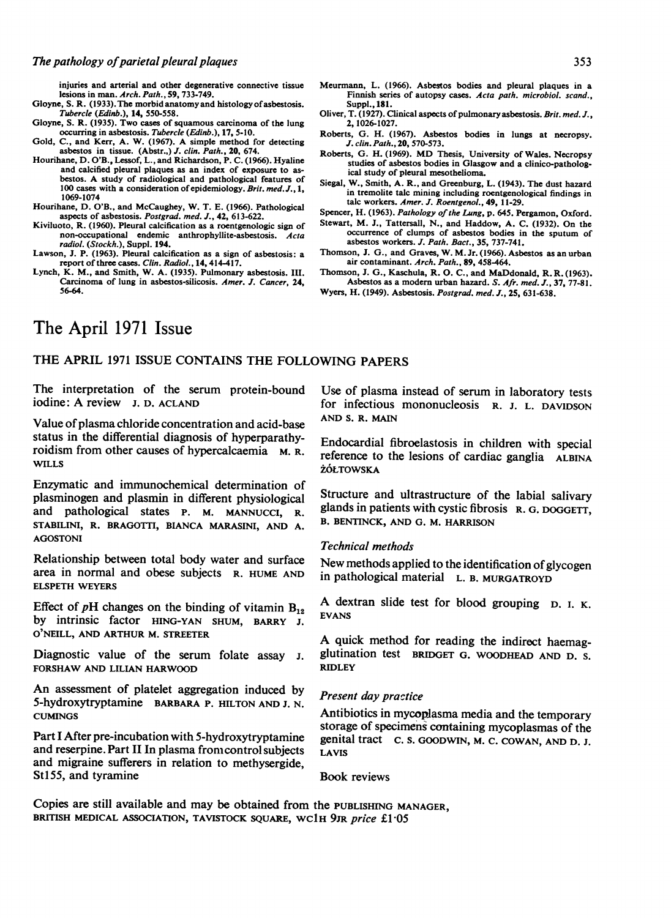injuries and arterial and other degenerative connective tissue lesions in man. Arch. Path., 59, 733-749.

Gloyne, S. R. (1933). The morbid anatomy and histology of asbestosis. Tubercle (Edinb.), 14, 550-558.

- Gloyne, S. R. (1935). Two cases of squamous carcinoma of the lung occurring in asbestosis. Tubercle (Edinb.), 17, 5-10.
- occurring in asbestosis. Tubercle (Edinb.), 17, 5-10.<br>Gold, C., and Kerr, A. W. (1967). A simple method for detecting<br>asbestos in tissue. (Abstr..) J. clin. Path., 20, 674.
- Hourihane, D. O'B., Lessof, L., and Richardson, P. C. (1966). Hyaline and calcified pleural plaques as an index of exposure to asbestos. A study of radiological and pathological features of 100 cases with a consideration of epidemiology. Brit. med. J., 1, 1069-1074
- Hourihane, D. O'B., and McCaughey, W. T. E. (1966). Pathological aspects of asbestosis. Postgrad. med. J., 42, 613-622.
- Kiviluoto, R. (1960). Pleural calcification as a roentgenologic sign of non-occupational endemic anthrophyllite-asbestosis. Acta radiol. (Stockh.), Suppl. 194.
- Lawson, J. P. (1963). Pleural calcification as a sign of asbestosis: a report of three cases. Clin. Radiol., 14, 414-417.
- Lynch, K. M., and Smith, W. A. (1935). Pulmonary asbestosis. III. Carcinoma of lung in asbestos-silicosis. Amer. J. Cancer, 24, 56-64.
- Meurmann, L. (1966). Asbestos bodies and pleural plaques in a Finnish series of autopsy cases. Acta path. microbiol. scand., Suppl., 181.
- Oliver, T. (1927). Clinical aspects of pulmonaryasbestosis. Brit. med. J., 2, 1026-1027.
- Roberts, G. H. (1967). Asbestos bodies in lungs at necropsy. J. clin. Path., 20, 570-573.
- Roberts, G. H. (1969). MD Thesis, University of Wales. Necropsy studies of asbestos bodies in Glasgow and a clinico-pathological study of pleural mesothelioma.
- Siegal, W., Smith, A. R., and Greenburg, L. (1943). The dust hazard in tremolite talc mining including roentgenological findings in talc workers. Amer. J. Roentgenol., 49, 11-29.

Spencer, H. (1963). Pathology of the Lung, p. 645. Pergamon, Oxford.

- Stewart, M. J., Tattersall, N., and Haddow, A. C. (1932). On the occurrence of clumps of asbestos bodies in the sputum of asbestos workers. J. Path. Bact., 35, 737-741.
- Thomson, J. G., and Graves, W. M. Jr. (1966). Asbestos as an urban air contaminant. Arch. Path., 89, 458-464.
- Thomson, J. G., Kaschula, R. 0. C., and MaDdonald, R. R. (1963). Asbestos as a modern urban hazard. S. Afr. med. J., 37, 77-81.

# The April 1971 Issue

## THE APRIL <sup>1971</sup> ISSUE CONTAINS THE FOLLOWING PAPERS

The interpretation of the serum protein-bound iodine: A review J. D. ACLAND

Value of plasma chloride concentration and acid-base status in the differential diagnosis of hyperparathyroidism from other causes of hypercalcaemia M. R. WILLS

Enzymatic and immunochemical determination of plasminogen and plasmin in different physiological and pathological states P. M. MANNUCCI, R. STABILINI, R. BRAGOTTI, BIANCA MARASINI, AND A. AGOSTONI

Relationship between total body water and surface area in normal and obese subjects R. HUME AND ELSPETH WEYERS

Effect of pH changes on the binding of vitamin  $B_{12}$ by intrinsic factor HING-YAN SHUM, BARRY J. O NEILL, AND ARTHUR M. STREETER

Diagnostic value of the serum folate assay i. FORSHAW AND LILIAN HARWOOD

An assessment of platelet aggregation induced by 5-hydroxytryptamine BARBARA P. HILTON AND J. N. **CUMINGS** 

Part I After pre-incubation with 5-hydroxytryptamine and reserpine. Part II In plasma fromcontrol subjects and migraine sufferers in relation to methysergide, StI55, and tyramine

Use of plasma instead of serum in laboratory tests for infectious mononucleosis R. J. L. DAVIDSON AND S. R. MAIN

Endocardial fibroelastosis in children with special reference to the lesions of cardiac ganglia ALBINA ŻÓŁTOWSKA

Structure and ultrastructure of the labial salivary glands in patients with cystic fibrosis R. G. DOGGETT, B. BENTINCK, AND G. M. HARRISON

#### Technical methods

New methods applied to the identification of glycogen in pathological material L. B. MURGATROYD

A dextran slide test for blood grouping D. I. K. EVANS

A quick method for reading the indirect haemagglutination test BRIDGET G. WOODHEAD AND D. S. RIDLEY

### Present day practice

Antibiotics in mycoplasma media and the temporary storage of specimens containing mycoplasmas of the genital tract C. S. GOODWIN, M. C. COWAN, AND D. J. LAVIS

Book reviews

Copies are still available and may be obtained from the PUBLISHING MANAGER, BRITISH MEDICAL ASSOCIATION, TAVISTOCK SQUARE, WCIH 9JR price £1.05

Wyers, H. (1949). Asbestosis. Postgrad. med. J., 25, 631-638.